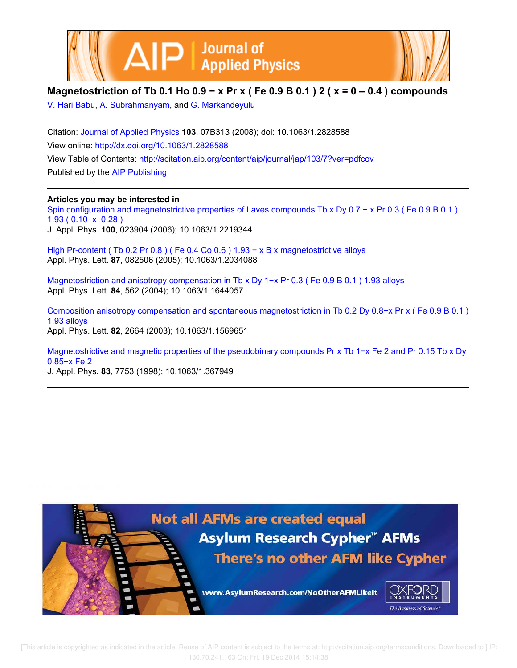



## **Magnetostriction of Tb 0.1 Ho 0.9 − x Pr x ( Fe 0.9 B 0.1 ) 2 ( x = 0 – 0.4 ) compounds**

V. Hari Babu, A. Subrahmanyam, and G. Markandeyulu

Citation: Journal of Applied Physics **103**, 07B313 (2008); doi: 10.1063/1.2828588 View online: http://dx.doi.org/10.1063/1.2828588 View Table of Contents: http://scitation.aip.org/content/aip/journal/jap/103/7?ver=pdfcov Published by the AIP Publishing

### **Articles you may be interested in**

Spin configuration and magnetostrictive properties of Laves compounds Tb x Dy 0.7 − x Pr 0.3 ( Fe 0.9 B 0.1 ) 1.93 ( 0.10 x 0.28 ) J. Appl. Phys. **100**, 023904 (2006); 10.1063/1.2219344

High Pr-content (Tb 0.2 Pr 0.8) ( Fe 0.4 Co 0.6 )  $1.93 - x$  B x magnetostrictive alloys Appl. Phys. Lett. **87**, 082506 (2005); 10.1063/1.2034088

Magnetostriction and anisotropy compensation in Tb x Dy 1−x Pr 0.3 ( Fe 0.9 B 0.1 ) 1.93 alloys Appl. Phys. Lett. **84**, 562 (2004); 10.1063/1.1644057

Composition anisotropy compensation and spontaneous magnetostriction in Tb 0.2 Dy 0.8−x Pr x ( Fe 0.9 B 0.1 ) 1.93 alloys Appl. Phys. Lett. **82**, 2664 (2003); 10.1063/1.1569651

Magnetostrictive and magnetic properties of the pseudobinary compounds Pr x Tb 1−x Fe 2 and Pr 0.15 Tb x Dy 0.85−x Fe 2

J. Appl. Phys. **83**, 7753 (1998); 10.1063/1.367949

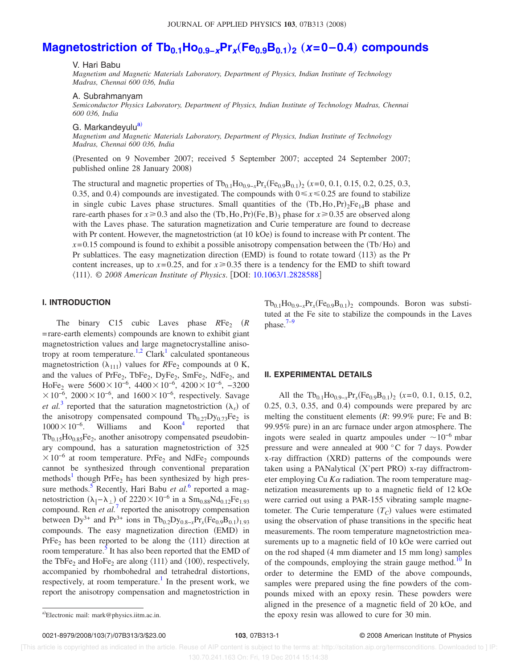# **Magnetostriction of Tb0.1Ho0.9−xPr<sup>x</sup>** "**Fe0.9B0.1**…**<sup>2</sup>** "**x=0–0.4**… **compounds**

V. Hari Babu

*Magnetism and Magnetic Materials Laboratory, Department of Physics, Indian Institute of Technology Madras, Chennai 600 036, India*

#### A. Subrahmanyam

*Semiconductor Physics Laboratory, Department of Physics, Indian Institute of Technology Madras, Chennai 600 036, India*

#### G. Markandeyulu<sup>a)</sup>

*Magnetism and Magnetic Materials Laboratory, Department of Physics, Indian Institute of Technology Madras, Chennai 600 036, India*

Presented on 9 November 2007; received 5 September 2007; accepted 24 September 2007; published online 28 January 2008)

The structural and magnetic properties of  $Tb_{0.1}Ho_{0.9-x}Pr_x(Fe_{0.9}B_{0.1})_2$  ( $x=0, 0.1, 0.15, 0.2, 0.25, 0.3,$ 0.35, and 0.4) compounds are investigated. The compounds with  $0 \le x \le 0.25$  are found to stabilize in single cubic Laves phase structures. Small quantities of the  $(Tb, Ho, Pr)_{2}Fe_{14}B$  phase and rare-earth phases for  $x \ge 0.3$  and also the  $(Tb, Ho, Pr)(Fe, B)$ <sub>3</sub> phase for  $x \ge 0.35$  are observed along with the Laves phase. The saturation magnetization and Curie temperature are found to decrease with Pr content. However, the magnetostriction (at 10 kOe) is found to increase with Pr content. The  $x=0.15$  compound is found to exhibit a possible anisotropy compensation between the  $(Tb/Ho)$  and Pr sublattices. The easy magnetization direction (EMD) is found to rotate toward  $\langle 113 \rangle$  as the Pr content increases, up to  $x=0.25$ , and for  $x \ge 0.35$  there is a tendency for the EMD to shift toward 111. © *2008 American Institute of Physics*. DOI: 10.1063/1.2828588

#### **I. INTRODUCTION**

The binary C15 cubic Laves phase  $RFe<sub>2</sub>$  (R = rare-earth elements) compounds are known to exhibit giant magnetostriction values and large magnetocrystalline anisotropy at room temperature.<sup>1,2</sup> Clark<sup>1</sup> calculated spontaneous magnetostriction  $(\lambda_{111})$  values for *RFe<sub>2</sub>* compounds at 0 K, and the values of  $PrFe_2$ ,  $TbFe_2$ ,  $DyFe_2$ ,  $SmFe_2$ ,  $NdFe_2$ , and HoFe<sub>2</sub> were  $5600 \times 10^{-6}$ ,  $4400 \times 10^{-6}$ ,  $4200 \times 10^{-6}$ ,  $-3200$  $\times 10^{-6}$ , 2000 $\times 10^{-6}$ , and 1600 $\times 10^{-6}$ , respectively. Savage *et al.*<sup>3</sup> reported that the saturation magnetostriction  $(\lambda_s)$  of the anisotropy compensated compound  $Tb_{0.27}Dy_{0.73}Fe_2$  is  $1000\times10^{-6}$ . Williams and Koon<sup>4</sup> reported that  $Tb_{0.15}Ho_{0.85}Fe_2$ , another anisotropy compensated pseudobinary compound, has a saturation magnetostriction of 325  $\times 10^{-6}$  at room temperature. PrFe<sub>2</sub> and NdFe<sub>2</sub> compounds cannot be synthesized through conventional preparation methods<sup>1</sup> though PrFe<sub>2</sub> has been synthesized by high pressure methods.<sup>5</sup> Recently, Hari Babu *et al.*<sup>6</sup> reported a magnetostriction  $(\lambda_{\parallel} - \lambda_{\perp})$  of 2220 × 10<sup>-6</sup> in a Sm<sub>0.88</sub>Nd<sub>0.12</sub>Fe<sub>1.93</sub> compound. Ren *et al.*<sup>7</sup> reported the anisotropy compensation between  $Dy^{3+}$  and  $Pr^{3+}$  ions in  $Tb_{0.2}Dy_{0.8-x}Pr_x(Fe_{0.9}B_{0.1})_{1.93}$ compounds. The easy magnetization direction (EMD) in PrFe<sub>2</sub> has been reported to be along the  $\langle 111 \rangle$  direction at room temperature.  $\frac{5}{5}$  It has also been reported that the EMD of the TbFe<sub>2</sub> and HoFe<sub>2</sub> are along  $\langle 111 \rangle$  and  $\langle 100 \rangle$ , respectively, accompanied by rhombohedral and tetrahedral distortions, respectively, at room temperature.<sup>1</sup> In the present work, we report the anisotropy compensation and magnetostriction in

 $Tb_{0.1}Ho_{0.9-x}Pr_x(Fe_{0.9}B_{0.1})_2$  compounds. Boron was substituted at the Fe site to stabilize the compounds in the Laves phase. $7-9$ 

#### **II. EXPERIMENTAL DETAILS**

All the  $Tb_{0.1}Ho_{0.9-x}Pr_x(Fe_{0.9}B_{0.1})_2$  (*x*=0, 0.1, 0.15, 0.2,  $0.25, 0.3, 0.35,$  and  $0.4$ ) compounds were prepared by arc melting the constituent elements *R*: 99.9% pure; Fe and B: 99.95% pure) in an arc furnace under argon atmosphere. The ingots were sealed in quartz ampoules under  $\sim 10^{-6}$  mbar pressure and were annealed at 900 °C for 7 days. Powder x-ray diffraction (XRD) patterns of the compounds were taken using a PANalytical (X'pert PRO) x-ray diffractrometer employing Cu  $K\alpha$  radiation. The room temperature magnetization measurements up to a magnetic field of 12 kOe were carried out using a PAR-155 vibrating sample magnetometer. The Curie temperature  $(T_C)$  values were estimated using the observation of phase transitions in the specific heat measurements. The room temperature magnetostriction measurements up to a magnetic field of 10 kOe were carried out on the rod shaped (4 mm diameter and 15 mm long) samples of the compounds, employing the strain gauge method.<sup>10</sup> In order to determine the EMD of the above compounds, samples were prepared using the fine powders of the compounds mixed with an epoxy resin. These powders were aligned in the presence of a magnetic field of 20 kOe, and the epoxy resin was allowed to cure for 30 min.

Electronic mail: mark@physics.iitm.ac.in.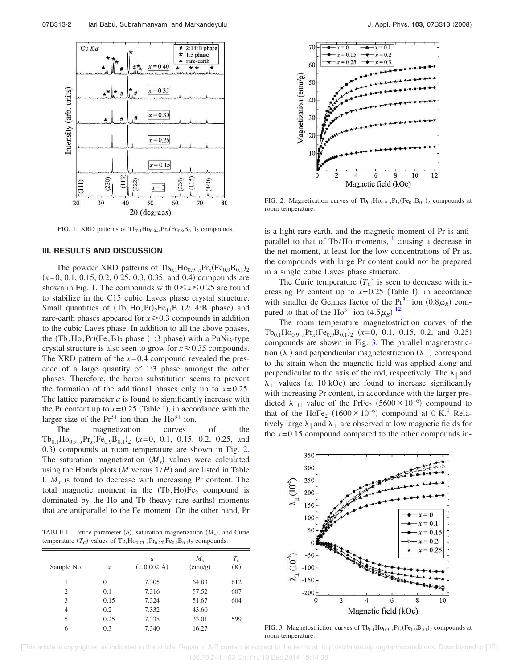

FIG. 1. XRD patterns of  $Tb_{0.1}Ho_{0.9-x}Pr_x(Fe_{0.9}B_{0.1})_2$  compounds.

#### **III. RESULTS AND DISCUSSION**

The powder XRD patterns of  $Tb_{0.1}Ho_{0.9-x}Pr_x(Fe_{0.9}B_{0.1})_2$  $(x=0, 0.1, 0.15, 0.2, 0.25, 0.3, 0.35,$  and 0.4) compounds are shown in Fig. 1. The compounds with  $0 \le x \le 0.25$  are found to stabilize in the C15 cubic Laves phase crystal structure. Small quantities of  $(Tb, Ho, Pr)_2Fe_{14}B$  (2:14:B phase) and rare-earth phases appeared for  $x \geq 0.3$  compounds in addition to the cubic Laves phase. In addition to all the above phases, the  $(Tb, Ho, Pr)(Fe, B)$ <sub>3</sub> phase  $(1:3$  phase) with a PuNi<sub>3</sub>-type crystal structure is also seen to grow for  $x \ge 0.35$  compounds. The XRD pattern of the  $x=0.4$  compound revealed the presence of a large quantity of 1:3 phase amongst the other phases. Therefore, the boron substitution seems to prevent the formation of the additional phases only up to  $x=0.25$ . The lattice parameter *a* is found to significantly increase with the Pr content up to  $x=0.25$  (Table I), in accordance with the larger size of the  $Pr^{3+}$  ion than the  $Ho^{3+}$  ion.

The magnetization curves of the  $Tb_{0.1}Ho_{0.9-x}Pr_x(Fe_{0.9}B_{0.1})_2$  (*x*=0, 0.1, 0.15, 0.2, 0.25, and 0.3) compounds at room temperature are shown in Fig. 2. The saturation magnetization  $(M<sub>s</sub>)$  values were calculated using the Honda plots  $(M \text{ versus } 1/H)$  and are listed in Table I. *M<sup>s</sup>* is found to decrease with increasing Pr content. The total magnetic moment in the  $(Tb, Ho)Fe<sub>2</sub>$  compound is dominated by the Ho and Tb (heavy rare earths) moments that are antiparallel to the Fe moment. On the other hand, Pr

TABLE I. Lattice parameter  $(a)$ , saturation magnetization  $(M_s)$ , and Curie temperature  $(T_C)$  values of  $Tb_x Ho_{0.75-x}Pr_{0.25}(Fe_{0.9}B_{0.1})_2$  compounds.

| Sample No. | $\mathcal{X}$ | a<br>$(\pm 0.002 \text{ Å})$ | $M_{\rm s}$<br>(emu/g) | $T_{C}$<br>(K) |
|------------|---------------|------------------------------|------------------------|----------------|
| 1          | $\Omega$      | 7.305                        | 64.83                  | 612            |
| 2          | 0.1           | 7.316                        | 57.52                  | 607            |
| 3          | 0.15          | 7.324                        | 51.67                  | 604            |
| 4          | 0.2           | 7.332                        | 43.60                  |                |
| 5          | 0.25          | 7.338                        | 33.01                  | 599            |
| 6          | 0.3           | 7.340                        | 16.27                  |                |



FIG. 2. Magnetization curves of  $Tb_{0.1}Ho_{0.9-x}Pr_x(Fe_{0.9}B_{0.1})_2$  compounds at room temperature.

is a light rare earth, and the magnetic moment of Pr is antiparallel to that of Tb/Ho moments, $^{11}$  causing a decrease in the net moment, at least for the low concentrations of Pr as, the compounds with large Pr content could not be prepared in a single cubic Laves phase structure.

The Curie temperature  $(T_C)$  is seen to decrease with increasing Pr content up to  $x=0.25$  (Table I), in accordance with smaller de Gennes factor of the  $Pr^{3+}$  ion  $(0.8\mu_B)$  compared to that of the Ho<sup>3+</sup> ion  $(4.5\mu_B)$ .<sup>12</sup>

The room temperature magnetostriction curves of the  $Tb_{0.1}Ho_{0.9-x}Pr_x(Fe_{0.9}B_{0.1})_2$  (*x*=0, 0.1, 0.15, 0.2, and 0.25) compounds are shown in Fig. 3. The parallel magnetostriction  $(\lambda_{\parallel})$  and perpendicular magnetostriction  $(\lambda_{\perp})$  correspond to the strain when the magnetic field was applied along and perpendicular to the axis of the rod, respectively. The  $\lambda_{\parallel}$  and  $\lambda_{\perp}$  values (at 10 kOe) are found to increase significantly with increasing Pr content, in accordance with the larger predicted  $\lambda_{111}$  value of the PrFe<sub>2</sub> (5600×10<sup>-6</sup>) compound to that of the HoFe<sub>2</sub> (1600×10<sup>-6</sup>) compound at 0 K.<sup>1</sup> Relatively large  $\lambda_{\parallel}$  and  $\lambda_{\perp}$  are observed at low magnetic fields for the  $x=0.15$  compound compared to the other compounds in-



FIG. 3. Magnetostriction curves of  $Tb_{0.1}Ho_{0.9-x}Pr_x(Fe_{0.9}B_{0.1})_2$  compounds at room temperature.

 [This article is copyrighted as indicated in the article. Reuse of AIP content is subject to the terms at: http://scitation.aip.org/termsconditions. Downloaded to ] IP: 130.70.241.163 On: Fri, 19 Dec 2014 15:14:38